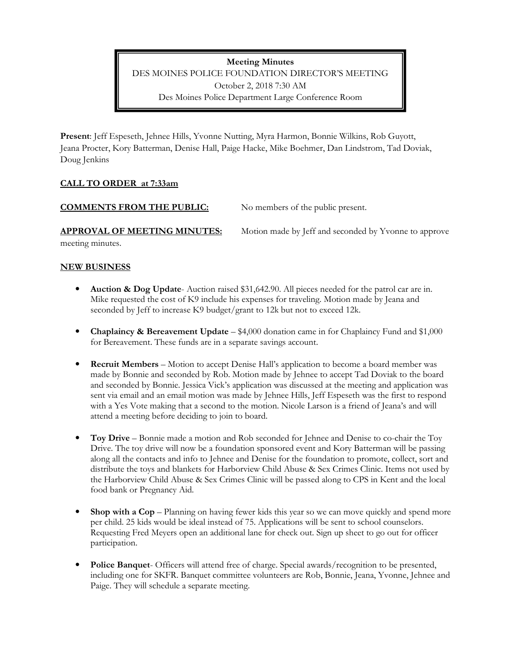**Meeting Minutes**  DES MOINES POLICE FOUNDATION DIRECTOR'S MEETING October 2, 2018 7:30 AM Des Moines Police Department Large Conference Room

**Present**: Jeff Espeseth, Jehnee Hills, Yvonne Nutting, Myra Harmon, Bonnie Wilkins, Rob Guyott, Jeana Procter, Kory Batterman, Denise Hall, Paige Hacke, Mike Boehmer, Dan Lindstrom, Tad Doviak, Doug Jenkins

# **CALL TO ORDER at 7:33am**

#### **COMMENTS FROM THE PUBLIC:** No members of the public present.

**APPROVAL OF MEETING MINUTES:** Motion made by Jeff and seconded by Yvonne to approve

meeting minutes.

## **NEW BUSINESS**

- **Auction & Dog Update** Auction raised \$31,642.90. All pieces needed for the patrol car are in. Mike requested the cost of K9 include his expenses for traveling. Motion made by Jeana and seconded by Jeff to increase K9 budget/grant to 12k but not to exceed 12k.
- **Chaplaincy & Bereavement Update** \$4,000 donation came in for Chaplaincy Fund and \$1,000 for Bereavement. These funds are in a separate savings account.
- **Recruit Members** Motion to accept Denise Hall's application to become a board member was made by Bonnie and seconded by Rob. Motion made by Jehnee to accept Tad Doviak to the board and seconded by Bonnie. Jessica Vick's application was discussed at the meeting and application was sent via email and an email motion was made by Jehnee Hills, Jeff Espeseth was the first to respond with a Yes Vote making that a second to the motion. Nicole Larson is a friend of Jeana's and will attend a meeting before deciding to join to board.
- **Toy Drive** Bonnie made a motion and Rob seconded for Jehnee and Denise to co-chair the Toy Drive. The toy drive will now be a foundation sponsored event and Kory Batterman will be passing along all the contacts and info to Jehnee and Denise for the foundation to promote, collect, sort and distribute the toys and blankets for Harborview Child Abuse & Sex Crimes Clinic. Items not used by the Harborview Child Abuse & Sex Crimes Clinic will be passed along to CPS in Kent and the local food bank or Pregnancy Aid.
- **Shop with a Cop** Planning on having fewer kids this year so we can move quickly and spend more per child. 25 kids would be ideal instead of 75. Applications will be sent to school counselors. Requesting Fred Meyers open an additional lane for check out. Sign up sheet to go out for officer participation.
- **Police Banquet** Officers will attend free of charge. Special awards/recognition to be presented, including one for SKFR. Banquet committee volunteers are Rob, Bonnie, Jeana, Yvonne, Jehnee and Paige. They will schedule a separate meeting.